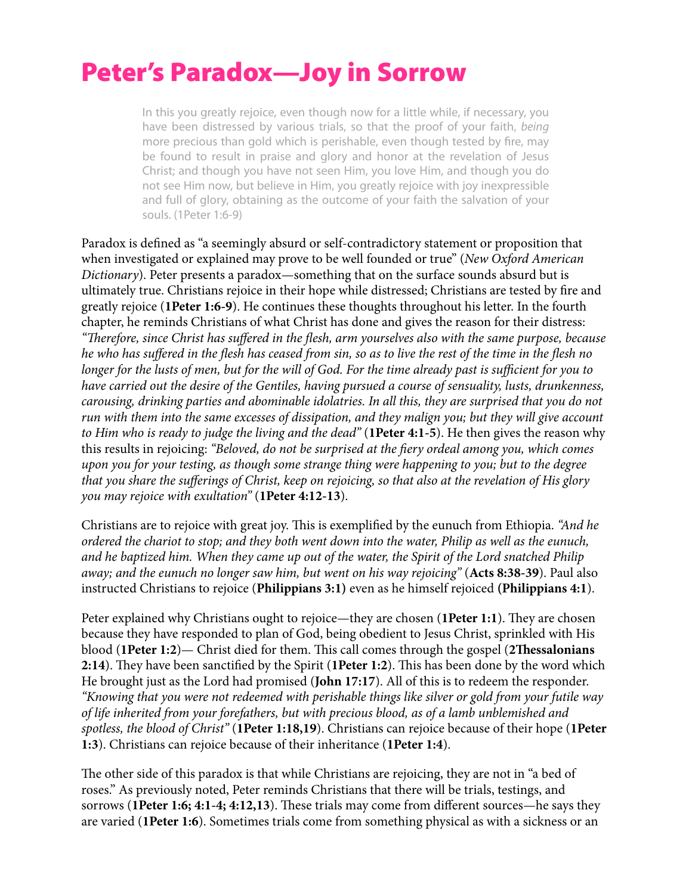## Peter's Paradox—Joy in Sorrow

In this you greatly rejoice, even though now for a little while, if necessary, you have been distressed by various trials, so that the proof of your faith, *being* more precious than gold which is perishable, even though tested by fire, may be found to result in praise and glory and honor at the revelation of Jesus Christ; and though you have not seen Him, you love Him, and though you do not see Him now, but believe in Him, you greatly rejoice with joy inexpressible and full of glory, obtaining as the outcome of your faith the salvation of your souls. (1Peter 1:6-9)

Paradox is defned as "a seemingly absurd or self-contradictory statement or proposition that when investigated or explained may prove to be well founded or true" (*New Oxford American Dictionary*). Peter presents a paradox—something that on the surface sounds absurd but is ultimately true. Christians rejoice in their hope while distressed; Christians are tested by fre and greatly rejoice (**1Peter 1:6-9**). He continues these thoughts throughout his letter. In the fourth chapter, he reminds Christians of what Christ has done and gives the reason for their distress: *"*T*erefore, since Christ has su*ff*ered in the* f*esh, arm yourselves also with the same purpose, because he who has su*ff*ered in the* f*esh has ceased from sin, so as to live the rest of the time in the* f*esh no longer for the lusts of men, but for the will of God. For the time already past is su*ffi*cient for you to have carried out the desire of the Gentiles, having pursued a course of sensuality, lusts, drunkenness, carousing, drinking parties and abominable idolatries. In all this, they are surprised that you do not run with them into the same excesses of dissipation, and they malign you; but they will give account to Him who is ready to judge the living and the dead"* (**1Peter 4:1-5**). He then gives the reason why this results in rejoicing: *"Beloved, do not be surprised at the* f*ery ordeal among you, which comes upon you for your testing, as though some strange thing were happening to you; but to the degree that you share the su*ff*erings of Christ, keep on rejoicing, so that also at the revelation of His glory you may rejoice with exultation"* (**1Peter 4:12-13**).

Christians are to rejoice with great joy. This is exemplified by the eunuch from Ethiopia. *"And he ordered the chariot to stop; and they both went down into the water, Philip as well as the eunuch, and he baptized him. When they came up out of the water, the Spirit of the Lord snatched Philip away; and the eunuch no longer saw him, but went on his way rejoicing"* (**Acts 8:38-39**). Paul also instructed Christians to rejoice (**Philippians 3:1)** even as he himself rejoiced **(Philippians 4:1**).

Peter explained why Christians ought to rejoice—they are chosen (1Peter 1:1). They are chosen because they have responded to plan of God, being obedient to Jesus Christ, sprinkled with His blood (**1Peter 1:2**)— Christ died for them. Tis call comes through the gospel (**2Tessalonians**  2:14). They have been sanctified by the Spirit (1Peter 1:2). This has been done by the word which He brought just as the Lord had promised (**John 17:17**). All of this is to redeem the responder. *"Knowing that you were not redeemed with perishable things like silver or gold from your futile way of life inherited from your forefathers, but with precious blood, as of a lamb unblemished and spotless, the blood of Christ"* (**1Peter 1:18,19**). Christians can rejoice because of their hope (**1Peter 1:3**). Christians can rejoice because of their inheritance (**1Peter 1:4**).

The other side of this paradox is that while Christians are rejoicing, they are not in "a bed of roses." As previously noted, Peter reminds Christians that there will be trials, testings, and sorrows (1Peter 1:6; 4:1-4; 4:12,13). These trials may come from different sources—he says they are varied (**1Peter 1:6**). Sometimes trials come from something physical as with a sickness or an